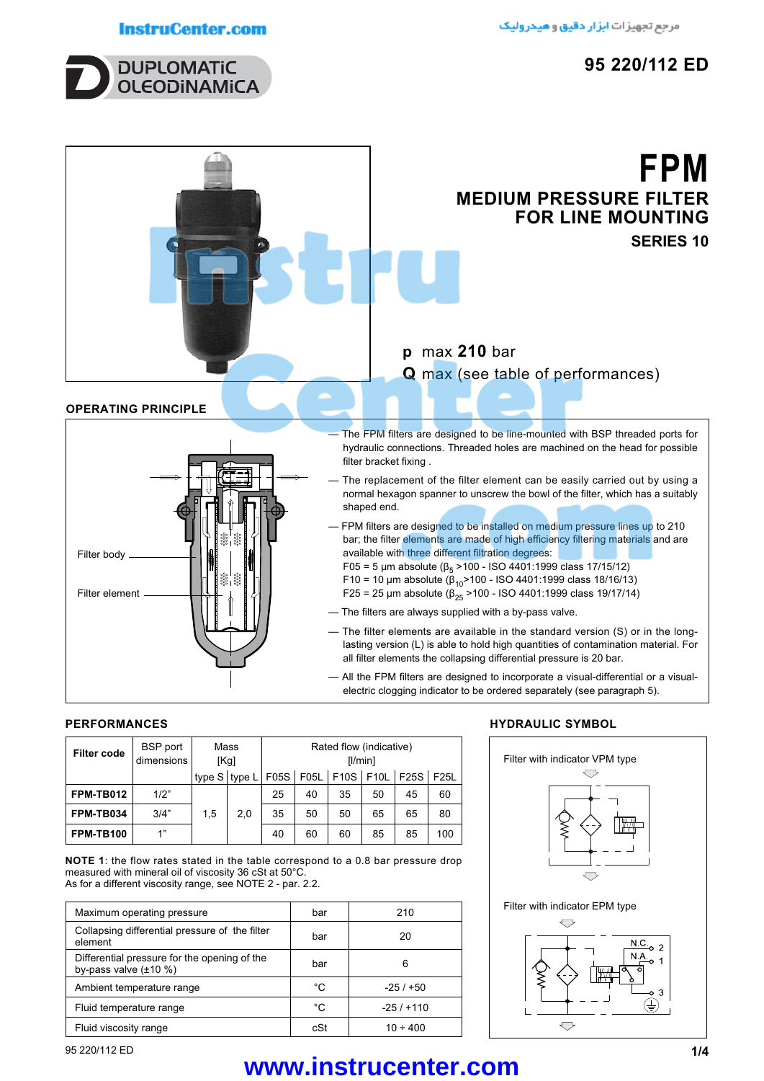# **InstruCenter.com**



# **FPM MEDIUM PRESSURE FILTER FOR LINE MOUNTING SERIES 10**

# **p** max **210** bar

**Q** max (see table of performances)

# **OPERATING PRINCIPLE**



The FPM filters are designed to be line-mounted with BSP threaded ports for hydraulic connections. Threaded holes are machined on the head for possible filter bracket fixing .

- The replacement of the filter element can be easily carried out by using a normal hexagon spanner to unscrew the bowl of the filter, which has a suitably shaped end.
- FPM filters are designed to be installed on medium pressure lines up to 210 bar; the filter elements are made of high efficiency filtering materials and are available with three different filtration degrees:
	- F05 = 5 μm absolute ( $β<sub>5</sub> > 100 ISO 4401:1999$  class 17/15/12)
	- F10 = 10 µm absolute  $(\beta_{10}$ >100 ISO 4401:1999 class 18/16/13)
	- F25 = 25 μm absolute ( $\beta_{25}$  > 100 ISO 4401:1999 class 19/17/14)
- The filters are always supplied with a by-pass valve.
- The filter elements are available in the standard version (S) or in the longlasting version (L) is able to hold high quantities of contamination material. For all filter elements the collapsing differential pressure is 20 bar.
- All the FPM filters are designed to incorporate a visual-differential or a visualelectric clogging indicator to be ordered separately (see paragraph 5).

# **PERFORMANCES**

| <b>Filter code</b> | <b>BSP</b> port<br>dimensions | Mass<br>[Kg] |                                | Rated flow (indicative)<br>[1/min] |    |    |    |                                  |     |
|--------------------|-------------------------------|--------------|--------------------------------|------------------------------------|----|----|----|----------------------------------|-----|
|                    |                               |              | type $S$ type $L$ F05S $\vert$ |                                    |    |    |    | F05L   F10S   F10L   F25S   F25L |     |
| FPM-TB012          | 1/2"                          |              |                                | 25                                 | 40 | 35 | 50 | 45                               | 60  |
| FPM-TB034          | 3/4"                          | 1,5          | 2.0                            | 35                                 | 50 | 50 | 65 | 65                               | 80  |
| <b>FPM-TB100</b>   | 1"                            |              |                                | 40                                 | 60 | 60 | 85 | 85                               | 100 |

**NOTE 1**: the flow rates stated in the table correspond to a 0.8 bar pressure drop measured with mineral oil of viscosity 36 cSt at 50°C. As for a different viscosity range, see NOTE 2 - par. 2.2.

Maximum operating pressure **bar** bar 210 Collapsing differential pressure of the filter element bar <sup>20</sup> Differential pressure for the opening of the Differential pressure for the opening of the bar bar bar bar 6 Ambient temperature range  $\begin{array}{ccc} \vert & \circ \texttt{C} & \vert & \texttt{--25/+50} \end{array}$ Fluid temperature range  $\begin{array}{ccc} \vert & \circ \texttt{C} & \vert & \texttt{-25 / +110} \end{array}$ Fluid viscosity range and the cSt and the 10 ÷ 400

# **HYDRAULIC SYMBOL**



# 95 220/112 ED **1/4 www.instrucenter.com**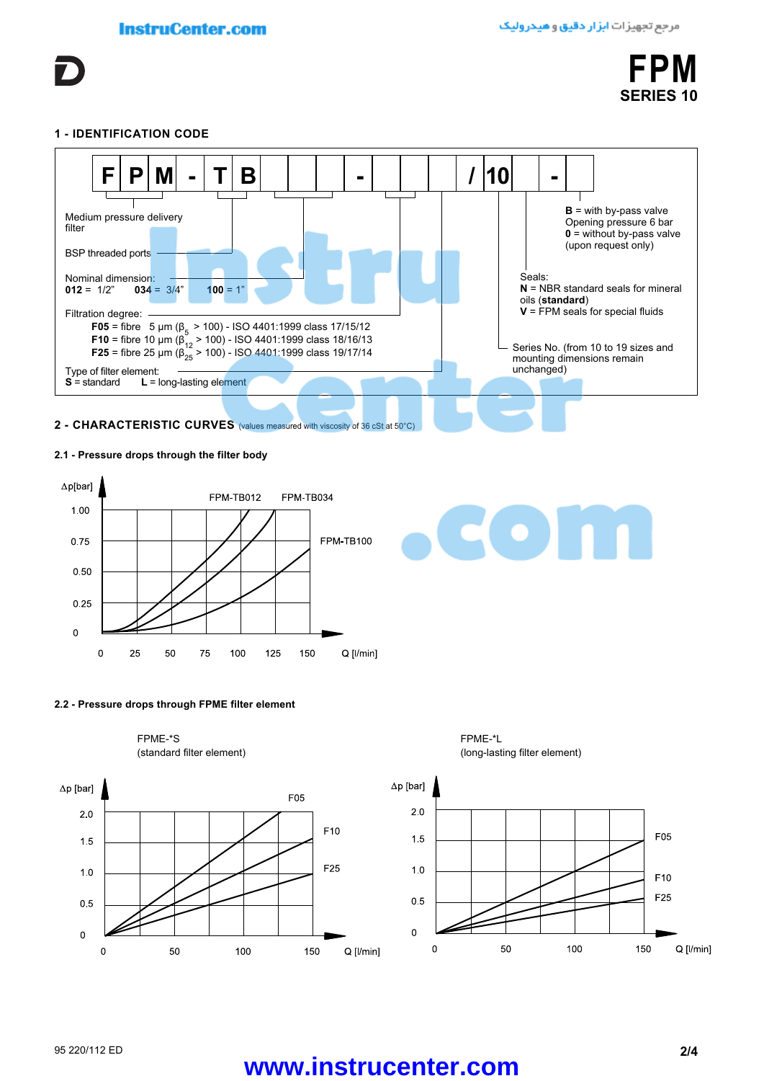

#### **1 - IDENTIFICATION CODE**



### **2.1 - Pressure drops through the filter body**



# **2.2 - Pressure drops through FPME filter element**

FPME-\*S FPME-\*L



(standard filter element) (long-lasting filter element)



# 95 220/112 ED **2/4 www.instrucenter.com**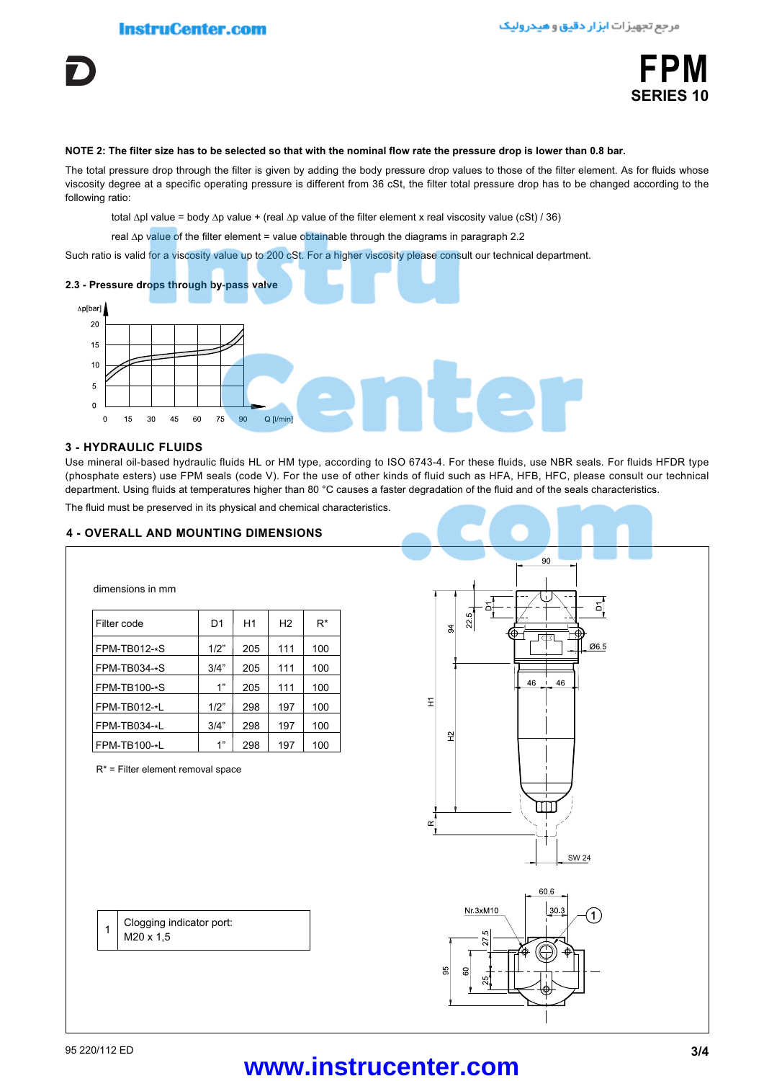

#### **NOTE 2: The filter size has to be selected so that with the nominal flow rate the pressure drop is lower than 0.8 bar.**

The total pressure drop through the filter is given by adding the body pressure drop values to those of the filter element. As for fluids whose viscosity degree at a specific operating pressure is different from 36 cSt, the filter total pressure drop has to be changed according to the following ratio:

total ∆pl value = body ∆p value + (real ∆p value of the filter element x real viscosity value (cSt) / 36)

real ∆p value of the filter element = value obtainable through the diagrams in paragraph 2.2

Such ratio is valid for a viscosity value up to 200 cSt. For a higher viscosity please consult our technical department.



#### **3 - HYDRAULIC FLUIDS**

dimensions in mm

Use mineral oil-based hydraulic fluids HL or HM type, according to ISO 6743-4. For these fluids, use NBR seals. For fluids HFDR type (phosphate esters) use FPM seals (code V). For the use of other kinds of fluid such as HFA, HFB, HFC, please consult our technical department. Using fluids at temperatures higher than 80 °C causes a faster degradation of the fluid and of the seals characteristics.

The fluid must be preserved in its physical and chemical characteristics.

#### **4 - OVERALL AND MOUNTING DIMENSIONS**

| Filter code    | D <sub>1</sub> | H1  | H <sub>2</sub> | $R^*$ |
|----------------|----------------|-----|----------------|-------|
| $FPM-TB012-*S$ | 1/2"           | 205 | 111            | 100   |
| FPM-TB034-*S   | 3/4"           | 205 | 111            | 100   |
| FPM-TB100-*S   | 1"             | 205 | 111            | 100   |
| FPM-TB012-*L   | 1/2"           | 298 | 197            | 100   |
| FPM-TB034-*L   | 3/4"           | 298 | 197            | 100   |
| FPM-TB100-*L   | 1"             | 298 | 197            | 100   |

R\* = Filter element removal space





# 95 220/112 ED **3/4 www.instrucenter.com**